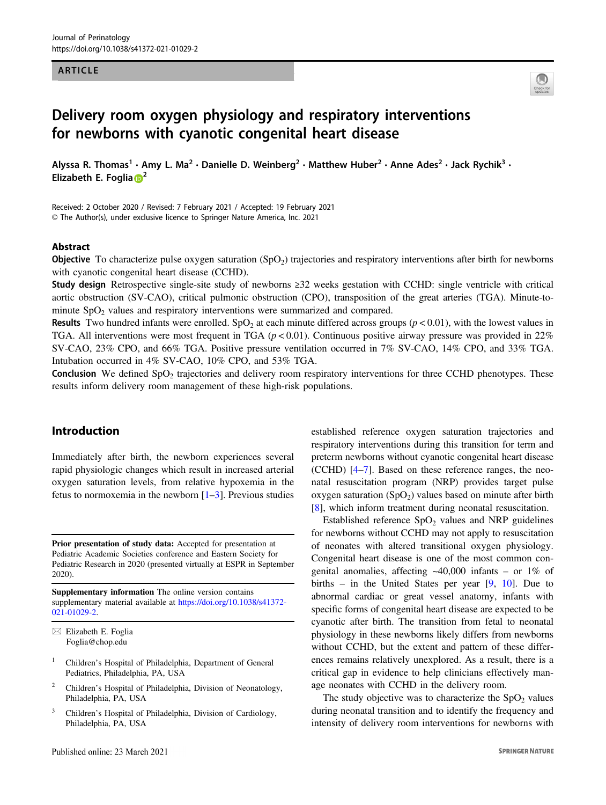#### ARTICLE



# Delivery room oxygen physiology and respiratory interventions for newborns with cyanotic congenital heart disease

Alyssa R. Thomas<sup>1</sup> • Amy L. Ma<sup>2</sup> • Danielle D. Weinberg<sup>2</sup> • Matthew Huber<sup>2</sup> • Anne Ades<sup>2</sup> • Jack Rychik<sup>3</sup> • Elizabeth E. Foglia $\mathbb{D}^2$  $\mathbb{D}^2$ 

Received: 2 October 2020 / Revised: 7 February 2021 / Accepted: 19 February 2021 © The Author(s), under exclusive licence to Springer Nature America, Inc. 2021

#### Abstract

**Objective** To characterize pulse oxygen saturation  $(SpO<sub>2</sub>)$  trajectories and respiratory interventions after birth for newborns with cyanotic congenital heart disease (CCHD).

Study design Retrospective single-site study of newborns ≥32 weeks gestation with CCHD: single ventricle with critical aortic obstruction (SV-CAO), critical pulmonic obstruction (CPO), transposition of the great arteries (TGA). Minute-tominute  $SpO<sub>2</sub>$  values and respiratory interventions were summarized and compared.

**Results** Two hundred infants were enrolled. SpO<sub>2</sub> at each minute differed across groups ( $p < 0.01$ ), with the lowest values in TGA. All interventions were most frequent in TGA ( $p < 0.01$ ). Continuous positive airway pressure was provided in 22% SV-CAO, 23% CPO, and 66% TGA. Positive pressure ventilation occurred in 7% SV-CAO, 14% CPO, and 33% TGA. Intubation occurred in 4% SV-CAO, 10% CPO, and 53% TGA.

**Conclusion** We defined  $SpO<sub>2</sub>$  trajectories and delivery room respiratory interventions for three CCHD phenotypes. These results inform delivery room management of these high-risk populations.

## Introduction

Immediately after birth, the newborn experiences several rapid physiologic changes which result in increased arterial oxygen saturation levels, from relative hypoxemia in the fetus to normoxemia in the newborn  $[1-3]$  $[1-3]$  $[1-3]$  $[1-3]$ . Previous studies

Prior presentation of study data: Accepted for presentation at Pediatric Academic Societies conference and Eastern Society for Pediatric Research in 2020 (presented virtually at ESPR in September 2020).

Supplementary information The online version contains supplementary material available at [https://doi.org/10.1038/s41372-](https://doi.org/10.1038/s41372-021-01029-2) [021-01029-2.](https://doi.org/10.1038/s41372-021-01029-2)

- <sup>1</sup> Children's Hospital of Philadelphia, Department of General Pediatrics, Philadelphia, PA, USA
- <sup>2</sup> Children's Hospital of Philadelphia, Division of Neonatology, Philadelphia, PA, USA
- <sup>3</sup> Children's Hospital of Philadelphia, Division of Cardiology, Philadelphia, PA, USA

established reference oxygen saturation trajectories and respiratory interventions during this transition for term and preterm newborns without cyanotic congenital heart disease (CCHD) [\[4](#page-7-0)–[7](#page-7-0)]. Based on these reference ranges, the neonatal resuscitation program (NRP) provides target pulse oxygen saturation  $(SpO<sub>2</sub>)$  values based on minute after birth [\[8](#page-7-0)], which inform treatment during neonatal resuscitation.

Established reference  $SpO<sub>2</sub>$  values and NRP guidelines for newborns without CCHD may not apply to resuscitation of neonates with altered transitional oxygen physiology. Congenital heart disease is one of the most common congenital anomalies, affecting  $~40,000$  infants – or 1% of births – in the United States per year  $[9, 10]$  $[9, 10]$  $[9, 10]$  $[9, 10]$ . Due to abnormal cardiac or great vessel anatomy, infants with specific forms of congenital heart disease are expected to be cyanotic after birth. The transition from fetal to neonatal physiology in these newborns likely differs from newborns without CCHD, but the extent and pattern of these differences remains relatively unexplored. As a result, there is a critical gap in evidence to help clinicians effectively manage neonates with CCHD in the delivery room.

The study objective was to characterize the  $SpO<sub>2</sub>$  values during neonatal transition and to identify the frequency and intensity of delivery room interventions for newborns with

 $\boxtimes$  Elizabeth E. Foglia [Foglia@chop.edu](mailto:Foglia@chop.edu)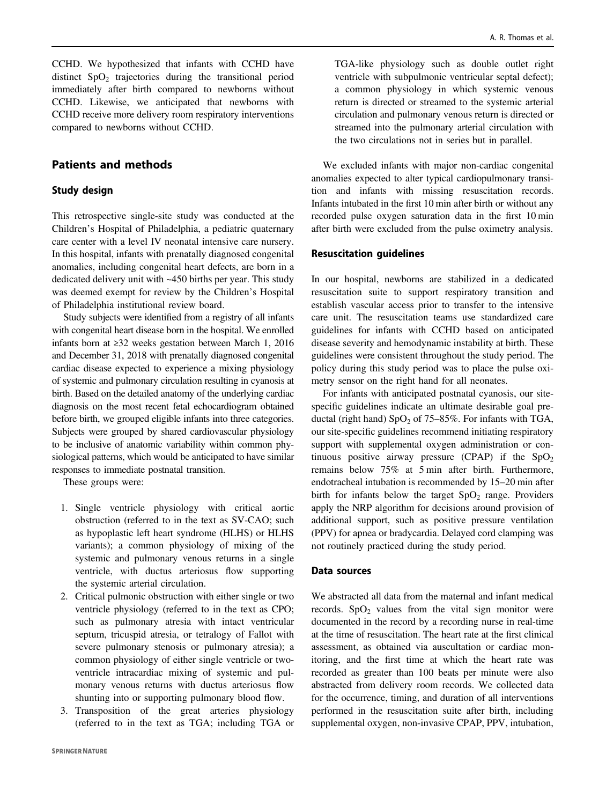CCHD. We hypothesized that infants with CCHD have distinct  $SpO<sub>2</sub>$  trajectories during the transitional period immediately after birth compared to newborns without CCHD. Likewise, we anticipated that newborns with CCHD receive more delivery room respiratory interventions compared to newborns without CCHD.

## Patients and methods

## Study design

This retrospective single-site study was conducted at the Children's Hospital of Philadelphia, a pediatric quaternary care center with a level IV neonatal intensive care nursery. In this hospital, infants with prenatally diagnosed congenital anomalies, including congenital heart defects, are born in a dedicated delivery unit with ~450 births per year. This study was deemed exempt for review by the Children's Hospital of Philadelphia institutional review board.

Study subjects were identified from a registry of all infants with congenital heart disease born in the hospital. We enrolled infants born at ≥32 weeks gestation between March 1, 2016 and December 31, 2018 with prenatally diagnosed congenital cardiac disease expected to experience a mixing physiology of systemic and pulmonary circulation resulting in cyanosis at birth. Based on the detailed anatomy of the underlying cardiac diagnosis on the most recent fetal echocardiogram obtained before birth, we grouped eligible infants into three categories. Subjects were grouped by shared cardiovascular physiology to be inclusive of anatomic variability within common physiological patterns, which would be anticipated to have similar responses to immediate postnatal transition.

These groups were:

- 1. Single ventricle physiology with critical aortic obstruction (referred to in the text as SV-CAO; such as hypoplastic left heart syndrome (HLHS) or HLHS variants); a common physiology of mixing of the systemic and pulmonary venous returns in a single ventricle, with ductus arteriosus flow supporting the systemic arterial circulation.
- 2. Critical pulmonic obstruction with either single or two ventricle physiology (referred to in the text as CPO; such as pulmonary atresia with intact ventricular septum, tricuspid atresia, or tetralogy of Fallot with severe pulmonary stenosis or pulmonary atresia); a common physiology of either single ventricle or twoventricle intracardiac mixing of systemic and pulmonary venous returns with ductus arteriosus flow shunting into or supporting pulmonary blood flow.
- 3. Transposition of the great arteries physiology (referred to in the text as TGA; including TGA or

TGA-like physiology such as double outlet right ventricle with subpulmonic ventricular septal defect); a common physiology in which systemic venous return is directed or streamed to the systemic arterial circulation and pulmonary venous return is directed or streamed into the pulmonary arterial circulation with the two circulations not in series but in parallel.

We excluded infants with major non-cardiac congenital anomalies expected to alter typical cardiopulmonary transition and infants with missing resuscitation records. Infants intubated in the first 10 min after birth or without any recorded pulse oxygen saturation data in the first 10 min after birth were excluded from the pulse oximetry analysis.

#### Resuscitation guidelines

In our hospital, newborns are stabilized in a dedicated resuscitation suite to support respiratory transition and establish vascular access prior to transfer to the intensive care unit. The resuscitation teams use standardized care guidelines for infants with CCHD based on anticipated disease severity and hemodynamic instability at birth. These guidelines were consistent throughout the study period. The policy during this study period was to place the pulse oximetry sensor on the right hand for all neonates.

For infants with anticipated postnatal cyanosis, our sitespecific guidelines indicate an ultimate desirable goal preductal (right hand)  $SpO<sub>2</sub>$  of 75–85%. For infants with TGA, our site-specific guidelines recommend initiating respiratory support with supplemental oxygen administration or continuous positive airway pressure (CPAP) if the  $SpO<sub>2</sub>$ remains below 75% at 5 min after birth. Furthermore, endotracheal intubation is recommended by 15–20 min after birth for infants below the target  $SpO<sub>2</sub>$  range. Providers apply the NRP algorithm for decisions around provision of additional support, such as positive pressure ventilation (PPV) for apnea or bradycardia. Delayed cord clamping was not routinely practiced during the study period.

#### Data sources

We abstracted all data from the maternal and infant medical records.  $SpO<sub>2</sub>$  values from the vital sign monitor were documented in the record by a recording nurse in real-time at the time of resuscitation. The heart rate at the first clinical assessment, as obtained via auscultation or cardiac monitoring, and the first time at which the heart rate was recorded as greater than 100 beats per minute were also abstracted from delivery room records. We collected data for the occurrence, timing, and duration of all interventions performed in the resuscitation suite after birth, including supplemental oxygen, non-invasive CPAP, PPV, intubation,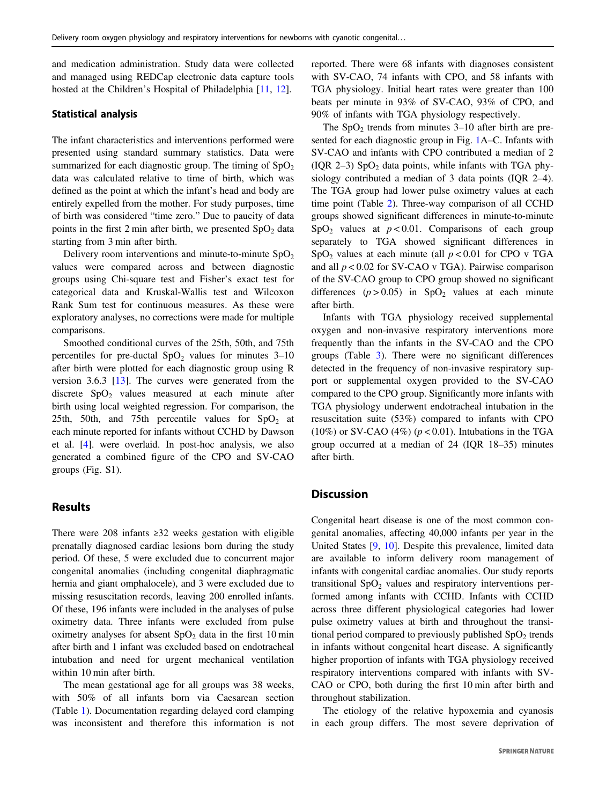and medication administration. Study data were collected and managed using REDCap electronic data capture tools hosted at the Children's Hospital of Philadelphia [\[11](#page-7-0), [12](#page-7-0)].

#### Statistical analysis

The infant characteristics and interventions performed were presented using standard summary statistics. Data were summarized for each diagnostic group. The timing of  $SpO<sub>2</sub>$ data was calculated relative to time of birth, which was defined as the point at which the infant's head and body are entirely expelled from the mother. For study purposes, time of birth was considered "time zero." Due to paucity of data points in the first 2 min after birth, we presented  $SpO<sub>2</sub>$  data starting from 3 min after birth.

Delivery room interventions and minute-to-minute  $SpO<sub>2</sub>$ values were compared across and between diagnostic groups using Chi-square test and Fisher's exact test for categorical data and Kruskal-Wallis test and Wilcoxon Rank Sum test for continuous measures. As these were exploratory analyses, no corrections were made for multiple comparisons.

Smoothed conditional curves of the 25th, 50th, and 75th percentiles for pre-ductal  $SpO<sub>2</sub>$  values for minutes 3–10 after birth were plotted for each diagnostic group using R version 3.6.3 [\[13](#page-7-0)]. The curves were generated from the discrete  $SpO<sub>2</sub>$  values measured at each minute after birth using local weighted regression. For comparison, the 25th, 50th, and 75th percentile values for  $SpO<sub>2</sub>$  at each minute reported for infants without CCHD by Dawson et al. [[4\]](#page-7-0). were overlaid. In post-hoc analysis, we also generated a combined figure of the CPO and SV-CAO groups (Fig. S1).

### Results

There were 208 infants ≥32 weeks gestation with eligible prenatally diagnosed cardiac lesions born during the study period. Of these, 5 were excluded due to concurrent major congenital anomalies (including congenital diaphragmatic hernia and giant omphalocele), and 3 were excluded due to missing resuscitation records, leaving 200 enrolled infants. Of these, 196 infants were included in the analyses of pulse oximetry data. Three infants were excluded from pulse oximetry analyses for absent  $SpO<sub>2</sub>$  data in the first 10 min after birth and 1 infant was excluded based on endotracheal intubation and need for urgent mechanical ventilation within 10 min after birth.

The mean gestational age for all groups was 38 weeks, with 50% of all infants born via Caesarean section (Table [1\)](#page-3-0). Documentation regarding delayed cord clamping was inconsistent and therefore this information is not reported. There were 68 infants with diagnoses consistent with SV-CAO, 74 infants with CPO, and 58 infants with TGA physiology. Initial heart rates were greater than 100 beats per minute in 93% of SV-CAO, 93% of CPO, and 90% of infants with TGA physiology respectively.

The  $SpO<sub>2</sub>$  trends from minutes 3–10 after birth are presented for each diagnostic group in Fig. [1](#page-4-0)A–C. Infants with SV-CAO and infants with CPO contributed a median of 2 (IQR 2–3)  $SpO<sub>2</sub>$  data points, while infants with TGA physiology contributed a median of 3 data points (IQR 2–4). The TGA group had lower pulse oximetry values at each time point (Table [2\)](#page-5-0). Three-way comparison of all CCHD groups showed significant differences in minute-to-minute  $SpO<sub>2</sub>$  values at  $p < 0.01$ . Comparisons of each group separately to TGA showed significant differences in SpO<sub>2</sub> values at each minute (all  $p < 0.01$  for CPO v TGA and all  $p < 0.02$  for SV-CAO v TGA). Pairwise comparison of the SV-CAO group to CPO group showed no significant differences ( $p > 0.05$ ) in SpO<sub>2</sub> values at each minute after birth.

Infants with TGA physiology received supplemental oxygen and non-invasive respiratory interventions more frequently than the infants in the SV-CAO and the CPO groups (Table [3\)](#page-5-0). There were no significant differences detected in the frequency of non-invasive respiratory support or supplemental oxygen provided to the SV-CAO compared to the CPO group. Significantly more infants with TGA physiology underwent endotracheal intubation in the resuscitation suite (53%) compared to infants with CPO (10%) or SV-CAO (4%) ( $p < 0.01$ ). Intubations in the TGA group occurred at a median of 24 (IQR 18–35) minutes after birth.

# **Discussion**

Congenital heart disease is one of the most common congenital anomalies, affecting 40,000 infants per year in the United States [[9,](#page-7-0) [10](#page-7-0)]. Despite this prevalence, limited data are available to inform delivery room management of infants with congenital cardiac anomalies. Our study reports transitional  $SpO<sub>2</sub>$  values and respiratory interventions performed among infants with CCHD. Infants with CCHD across three different physiological categories had lower pulse oximetry values at birth and throughout the transitional period compared to previously published  $SpO<sub>2</sub>$  trends in infants without congenital heart disease. A significantly higher proportion of infants with TGA physiology received respiratory interventions compared with infants with SV-CAO or CPO, both during the first 10 min after birth and throughout stabilization.

The etiology of the relative hypoxemia and cyanosis in each group differs. The most severe deprivation of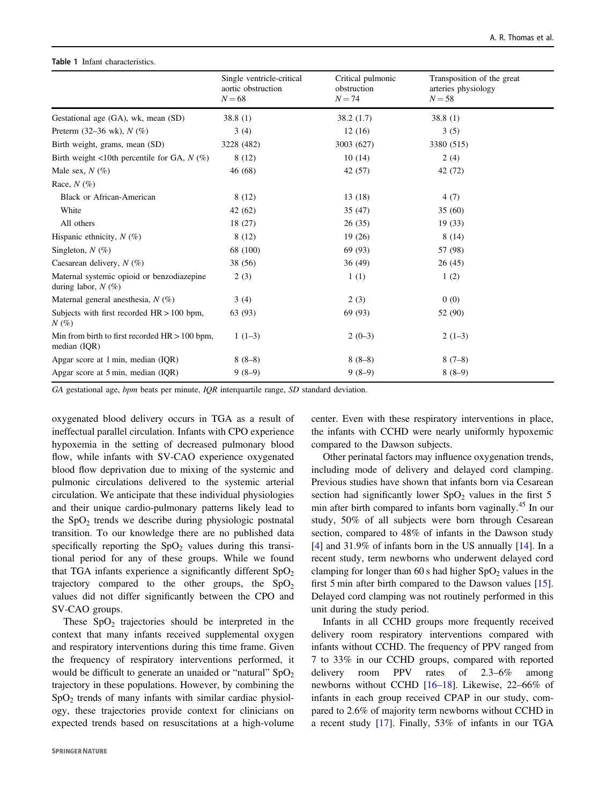#### Single ventricle-critical aortic obstruction  $N = 68$ Critical pulmonic obstruction  $N = 74$ Transposition of the great arteries physiology  $N = 58$ Gestational age (GA), wk, mean (SD) 38.8 (1) 38.2 (1.7) 38.8 (1) Preterm (32–36 wk),  $N$  (%) 3 (4) 12 (16) 3 (5) Birth weight, grams, mean (SD) 3228 (482) 3003 (627) 3380 (515) Birth weight <10th percentile for GA,  $N$  (%) 8 (12) 10 (14) 2 (4) Male sex,  $N (\%)$  46 (68) 42 (57) 42 (72) Race,  $N$  (%) Black or African-American  $8(12)$  13 (18)  $4(7)$ White 35 (47) 35 (60) All others 18 (27) 26 (35) 19 (33) Hispanic ethnicity,  $N(\%)$  8 (12) 19 (26) 8 (14) Singleton,  $N$  (%) 68 (100) 69 (93) 57 (98) Caesarean delivery,  $N(\%)$  38 (56) 36 (49) 36 (49) 26 (45) Maternal systemic opioid or benzodiazepine during labor,  $N$  (%)  $2(3)$  1 (1) 1 (2) Maternal general anesthesia,  $N(\%)$  3 (4) 3 (4) 2 (3) 0 (0) Subjects with first recorded HR > 100 bpm,  $N(\%)$ 63 (93) 69 (93) 52 (90) Min from birth to first recorded HR  $> 100$  bpm, median (IQR)  $1(1-3)$   $2(0-3)$   $2(1-3)$ Apgar score at 1 min, median (IQR)  $8(8-8)$   $8(8-8)$   $8(7-8)$ Apgar score at 5 min, median (IQR) 9 (8–9) 9 (8–9) 8 (8–9)

GA gestational age,  $bpm$  beats per minute,  $IQR$  interquartile range, SD standard deviation.

oxygenated blood delivery occurs in TGA as a result of ineffectual parallel circulation. Infants with CPO experience hypoxemia in the setting of decreased pulmonary blood flow, while infants with SV-CAO experience oxygenated blood flow deprivation due to mixing of the systemic and pulmonic circulations delivered to the systemic arterial circulation. We anticipate that these individual physiologies and their unique cardio-pulmonary patterns likely lead to the  $SpO<sub>2</sub>$  trends we describe during physiologic postnatal transition. To our knowledge there are no published data specifically reporting the  $SpO<sub>2</sub>$  values during this transitional period for any of these groups. While we found that TGA infants experience a significantly different  $SpO<sub>2</sub>$ trajectory compared to the other groups, the  $SpO<sub>2</sub>$ values did not differ significantly between the CPO and SV-CAO groups.

These  $SpO<sub>2</sub>$  trajectories should be interpreted in the context that many infants received supplemental oxygen and respiratory interventions during this time frame. Given the frequency of respiratory interventions performed, it would be difficult to generate an unaided or "natural"  $SpO<sub>2</sub>$ trajectory in these populations. However, by combining the  $SpO<sub>2</sub>$  trends of many infants with similar cardiac physiology, these trajectories provide context for clinicians on expected trends based on resuscitations at a high-volume

<span id="page-3-0"></span>Table 1 Infant characteristics.

center. Even with these respiratory interventions in place, the infants with CCHD were nearly uniformly hypoxemic compared to the Dawson subjects.

Other perinatal factors may influence oxygenation trends, including mode of delivery and delayed cord clamping. Previous studies have shown that infants born via Cesarean section had significantly lower  $SpO<sub>2</sub>$  values in the first 5 min after birth compared to infants born vaginally.<sup>45</sup> In our study, 50% of all subjects were born through Cesarean section, compared to 48% of infants in the Dawson study [\[4](#page-7-0)] and 31.9% of infants born in the US annually [\[14](#page-7-0)]. In a recent study, term newborns who underwent delayed cord clamping for longer than 60 s had higher  $SpO<sub>2</sub>$  values in the first 5 min after birth compared to the Dawson values [[15\]](#page-7-0). Delayed cord clamping was not routinely performed in this unit during the study period.

Infants in all CCHD groups more frequently received delivery room respiratory interventions compared with infants without CCHD. The frequency of PPV ranged from 7 to 33% in our CCHD groups, compared with reported delivery room PPV rates of 2.3–6% among newborns without CCHD [[16](#page-7-0)–[18\]](#page-7-0). Likewise, 22–66% of infants in each group received CPAP in our study, compared to 2.6% of majority term newborns without CCHD in a recent study [[17\]](#page-7-0). Finally, 53% of infants in our TGA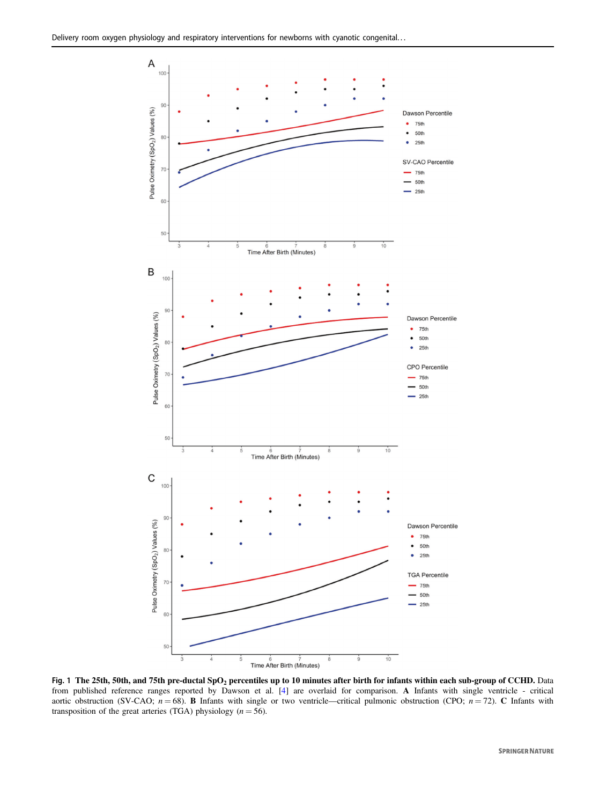<span id="page-4-0"></span>

Fig. 1 The 25th, 50th, and 75th pre-ductal SpO<sub>2</sub> percentiles up to 10 minutes after birth for infants within each sub-group of CCHD. Data from published reference ranges reported by Dawson et al. [[4](#page-7-0)] are overlaid for comparison. A Infants with single ventricle - critical aortic obstruction (SV-CAO;  $n = 68$ ). **B** Infants with single or two ventricle—critical pulmonic obstruction (CPO;  $n = 72$ ). **C** Infants with transposition of the great arteries (TGA) physiology ( $n = 56$ ).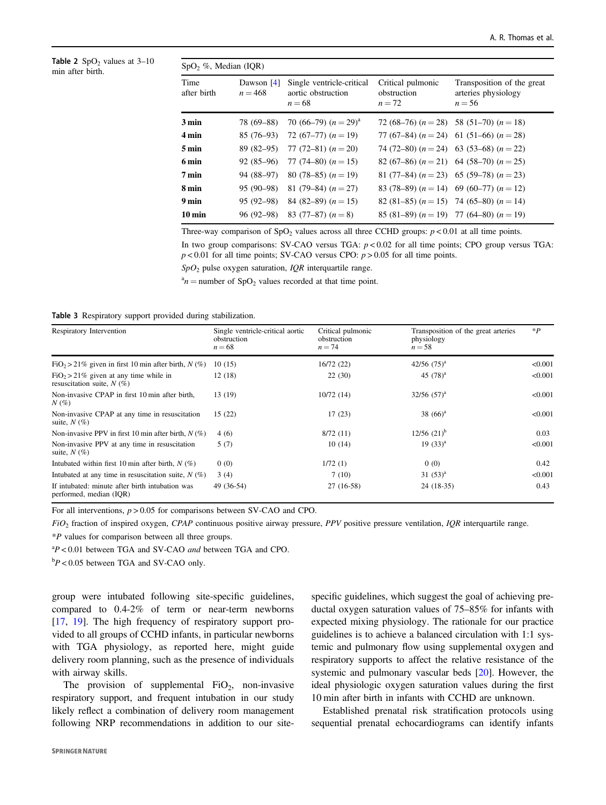<span id="page-5-0"></span>Table 2  $SpO<sub>2</sub>$  values at 3-10 min after birth.

| $SpO2$ %, Median (IQR) |                           |                                                             |                                              |                                                               |  |  |
|------------------------|---------------------------|-------------------------------------------------------------|----------------------------------------------|---------------------------------------------------------------|--|--|
| Time<br>after birth    | Dawson $[4]$<br>$n = 468$ | Single ventricle-critical<br>aortic obstruction<br>$n = 68$ | Critical pulmonic<br>obstruction<br>$n = 72$ | Transposition of the great<br>arteries physiology<br>$n = 56$ |  |  |
| $3 \text{ min}$        | 78 (69–88)                | 70 (66–79) $(n=29)^{a}$                                     |                                              | 72 (68–76) $(n = 28)$ 58 (51–70) $(n = 18)$                   |  |  |
| 4 min                  |                           | $85(76-93)$ 72 $(67-77)$ $(n = 19)$                         |                                              | 77 (67–84) $(n = 24)$ 61 (51–66) $(n = 28)$                   |  |  |
| $5 \,\mathrm{min}$     | $89(82-95)$               | 77 (72–81) $(n = 20)$                                       |                                              | 74 (72–80) $(n = 24)$ 63 (53–68) $(n = 22)$                   |  |  |
| 6 min                  | $92(85-96)$               | 77 (74–80) $(n = 15)$                                       |                                              | 82 (67–86) $(n = 21)$ 64 (58–70) $(n = 25)$                   |  |  |
| $7 \text{ min}$        | 94 (88–97)                | 80 (78–85) $(n = 19)$                                       |                                              | 81 (77–84) $(n = 23)$ 65 (59–78) $(n = 23)$                   |  |  |
| 8 min                  | 95 (90–98)                | 81 (79–84) $(n=27)$                                         |                                              | 83 (78–89) $(n = 14)$ 69 (60–77) $(n = 12)$                   |  |  |
| 9 min                  | $95(92-98)$               | 84 (82–89) $(n = 15)$                                       |                                              | 82 (81–85) $(n = 15)$ 74 (65–80) $(n = 14)$                   |  |  |
| $10 \,\mathrm{min}$    | 96 (92–98)                | 83 (77–87) $(n=8)$                                          |                                              | 85 (81–89) $(n = 19)$ 77 (64–80) $(n = 19)$                   |  |  |

Three-way comparison of  $SpO<sub>2</sub>$  values across all three CCHD groups:  $p < 0.01$  at all time points.

In two group comparisons: SV-CAO versus TGA:  $p < 0.02$  for all time points; CPO group versus TGA:  $p < 0.01$  for all time points; SV-CAO versus CPO:  $p > 0.05$  for all time points.

 $SpO<sub>2</sub>$  pulse oxygen saturation, *IOR* interquartile range.

 $a_n =$  number of SpO<sub>2</sub> values recorded at that time point.

Table 3 Respiratory support provided during stabilization.

| Respiratory Intervention                                                   | Single ventricle-critical aortic<br>obstruction<br>$n = 68$ | Critical pulmonic<br>obstruction<br>$n = 74$ | Transposition of the great arteries<br>physiology<br>$n = 58$ | $*P$    |
|----------------------------------------------------------------------------|-------------------------------------------------------------|----------------------------------------------|---------------------------------------------------------------|---------|
| $FiO_2 > 21\%$ given in first 10 min after birth, $N(\%)$                  | 10(15)                                                      | 16/72(22)                                    | $42/56$ $(75)^a$                                              | < 0.001 |
| $FiO_2 > 21\%$ given at any time while in<br>resuscitation suite, $N(\%)$  | 12(18)                                                      | 22(30)                                       | 45 $(78)^{a}$                                                 | < 0.001 |
| Non-invasive CPAP in first 10 min after birth,<br>$N(\%)$                  | 13 (19)                                                     | 10/72(14)                                    | $32/56$ $(57)^a$                                              | < 0.001 |
| Non-invasive CPAP at any time in resuscitation<br>suite, $N(\%)$           | 15(22)                                                      | 17(23)                                       | 38 $(66)^a$                                                   | < 0.001 |
| Non-invasive PPV in first 10 min after birth, $N(\%)$                      | 4(6)                                                        | 8/72(11)                                     | $12/56$ $(21)^{b}$                                            | 0.03    |
| Non-invasive PPV at any time in resuscitation<br>suite, $N(\%)$            | 5(7)                                                        | 10(14)                                       | $19(33)^{a}$                                                  | < 0.001 |
| Intubated within first 10 min after birth, $N(\%)$                         | 0(0)                                                        | 1/72(1)                                      | 0(0)                                                          | 0.42    |
| Intubated at any time in resuscitation suite, $N(\%)$                      | 3(4)                                                        | 7(10)                                        | 31 $(53)^{a}$                                                 | < 0.001 |
| If intubated: minute after birth intubation was<br>performed, median (IOR) | 49 (36-54)                                                  | 27 (16-58)                                   | $24(18-35)$                                                   | 0.43    |

For all interventions,  $p > 0.05$  for comparisons between SV-CAO and CPO.

 $FiO<sub>2</sub>$  fraction of inspired oxygen, CPAP continuous positive airway pressure, PPV positive pressure ventilation, IQR interquartile range.

\*P values for comparison between all three groups.

 ${}^{a}P$  < 0.01 between TGA and SV-CAO *and* between TGA and CPO.

 $bP < 0.05$  between TGA and SV-CAO only.

group were intubated following site-specific guidelines, compared to 0.4-2% of term or near-term newborns [\[17](#page-7-0), [19](#page-7-0)]. The high frequency of respiratory support provided to all groups of CCHD infants, in particular newborns with TGA physiology, as reported here, might guide delivery room planning, such as the presence of individuals with airway skills.

The provision of supplemental  $FiO_2$ , non-invasive respiratory support, and frequent intubation in our study likely reflect a combination of delivery room management following NRP recommendations in addition to our sitespecific guidelines, which suggest the goal of achieving preductal oxygen saturation values of 75–85% for infants with expected mixing physiology. The rationale for our practice guidelines is to achieve a balanced circulation with 1:1 systemic and pulmonary flow using supplemental oxygen and respiratory supports to affect the relative resistance of the systemic and pulmonary vascular beds [\[20](#page-7-0)]. However, the ideal physiologic oxygen saturation values during the first 10 min after birth in infants with CCHD are unknown.

Established prenatal risk stratification protocols using sequential prenatal echocardiograms can identify infants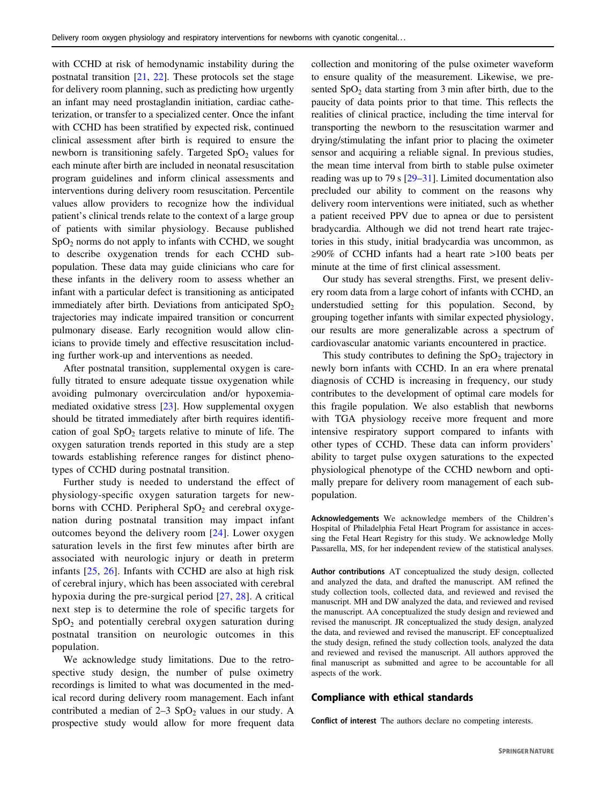with CCHD at risk of hemodynamic instability during the postnatal transition [[21,](#page-7-0) [22\]](#page-7-0). These protocols set the stage for delivery room planning, such as predicting how urgently an infant may need prostaglandin initiation, cardiac catheterization, or transfer to a specialized center. Once the infant with CCHD has been stratified by expected risk, continued clinical assessment after birth is required to ensure the newborn is transitioning safely. Targeted  $SpO<sub>2</sub>$  values for each minute after birth are included in neonatal resuscitation program guidelines and inform clinical assessments and interventions during delivery room resuscitation. Percentile values allow providers to recognize how the individual patient's clinical trends relate to the context of a large group of patients with similar physiology. Because published  $SpO<sub>2</sub>$  norms do not apply to infants with CCHD, we sought to describe oxygenation trends for each CCHD subpopulation. These data may guide clinicians who care for these infants in the delivery room to assess whether an infant with a particular defect is transitioning as anticipated immediately after birth. Deviations from anticipated  $SpO<sub>2</sub>$ trajectories may indicate impaired transition or concurrent pulmonary disease. Early recognition would allow clinicians to provide timely and effective resuscitation including further work-up and interventions as needed.

After postnatal transition, supplemental oxygen is carefully titrated to ensure adequate tissue oxygenation while avoiding pulmonary overcirculation and/or hypoxemiamediated oxidative stress [[23\]](#page-7-0). How supplemental oxygen should be titrated immediately after birth requires identification of goal  $SpO<sub>2</sub>$  targets relative to minute of life. The oxygen saturation trends reported in this study are a step towards establishing reference ranges for distinct phenotypes of CCHD during postnatal transition.

Further study is needed to understand the effect of physiology-specific oxygen saturation targets for newborns with CCHD. Peripheral  $SpO<sub>2</sub>$  and cerebral oxygenation during postnatal transition may impact infant outcomes beyond the delivery room [\[24](#page-7-0)]. Lower oxygen saturation levels in the first few minutes after birth are associated with neurologic injury or death in preterm infants [[25,](#page-7-0) [26](#page-7-0)]. Infants with CCHD are also at high risk of cerebral injury, which has been associated with cerebral hypoxia during the pre-surgical period [[27](#page-7-0), [28\]](#page-7-0). A critical next step is to determine the role of specific targets for  $SpO<sub>2</sub>$  and potentially cerebral oxygen saturation during postnatal transition on neurologic outcomes in this population.

We acknowledge study limitations. Due to the retrospective study design, the number of pulse oximetry recordings is limited to what was documented in the medical record during delivery room management. Each infant contributed a median of  $2-3$  SpO<sub>2</sub> values in our study. A prospective study would allow for more frequent data collection and monitoring of the pulse oximeter waveform to ensure quality of the measurement. Likewise, we presented  $SpO<sub>2</sub>$  data starting from 3 min after birth, due to the paucity of data points prior to that time. This reflects the realities of clinical practice, including the time interval for transporting the newborn to the resuscitation warmer and drying/stimulating the infant prior to placing the oximeter sensor and acquiring a reliable signal. In previous studies, the mean time interval from birth to stable pulse oximeter reading was up to 79 s [\[29](#page-7-0)–[31](#page-7-0)]. Limited documentation also precluded our ability to comment on the reasons why delivery room interventions were initiated, such as whether a patient received PPV due to apnea or due to persistent bradycardia. Although we did not trend heart rate trajectories in this study, initial bradycardia was uncommon, as ≥90% of CCHD infants had a heart rate >100 beats per minute at the time of first clinical assessment.

Our study has several strengths. First, we present delivery room data from a large cohort of infants with CCHD, an understudied setting for this population. Second, by grouping together infants with similar expected physiology, our results are more generalizable across a spectrum of cardiovascular anatomic variants encountered in practice.

This study contributes to defining the  $SpO<sub>2</sub>$  trajectory in newly born infants with CCHD. In an era where prenatal diagnosis of CCHD is increasing in frequency, our study contributes to the development of optimal care models for this fragile population. We also establish that newborns with TGA physiology receive more frequent and more intensive respiratory support compared to infants with other types of CCHD. These data can inform providers' ability to target pulse oxygen saturations to the expected physiological phenotype of the CCHD newborn and optimally prepare for delivery room management of each subpopulation.

Acknowledgements We acknowledge members of the Children's Hospital of Philadelphia Fetal Heart Program for assistance in accessing the Fetal Heart Registry for this study. We acknowledge Molly Passarella, MS, for her independent review of the statistical analyses.

Author contributions AT conceptualized the study design, collected and analyzed the data, and drafted the manuscript. AM refined the study collection tools, collected data, and reviewed and revised the manuscript. MH and DW analyzed the data, and reviewed and revised the manuscript. AA conceptualized the study design and reviewed and revised the manuscript. JR conceptualized the study design, analyzed the data, and reviewed and revised the manuscript. EF conceptualized the study design, refined the study collection tools, analyzed the data and reviewed and revised the manuscript. All authors approved the final manuscript as submitted and agree to be accountable for all aspects of the work.

#### Compliance with ethical standards

Conflict of interest The authors declare no competing interests.